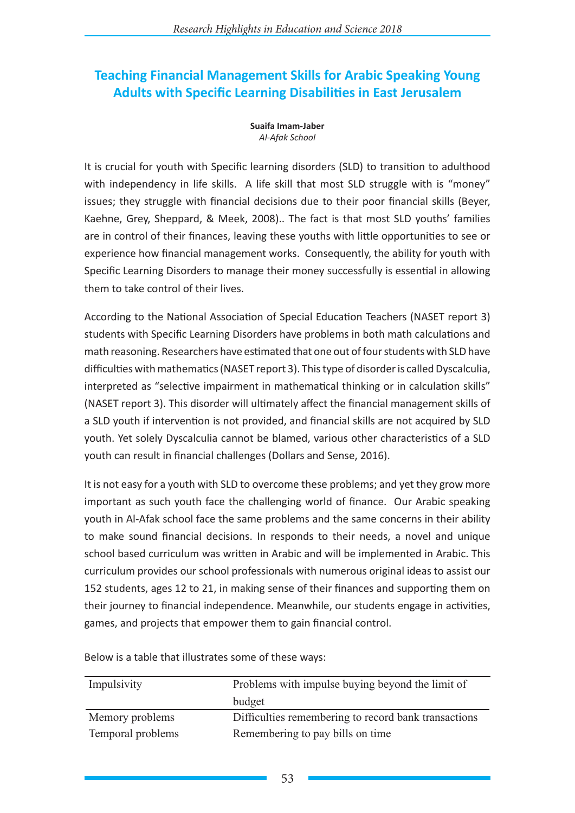# **Teaching Financial Management Skills for Arabic Speaking Young Adults with Specific Learning Disabilities in East Jerusalem**

**Suaifa Imam-Jaber** *Al-Afak School*

It is crucial for youth with Specific learning disorders (SLD) to transition to adulthood with independency in life skills. A life skill that most SLD struggle with is "money" issues; they struggle with financial decisions due to their poor financial skills (Beyer, Kaehne, Grey, Sheppard, & Meek, 2008).. The fact is that most SLD youths' families are in control of their finances, leaving these youths with little opportunities to see or experience how financial management works. Consequently, the ability for youth with Specific Learning Disorders to manage their money successfully is essential in allowing them to take control of their lives.

According to the National Association of Special Education Teachers (NASET report 3) students with Specific Learning Disorders have problems in both math calculations and math reasoning. Researchers have estimated that one out of four students with SLD have difficulties with mathematics (NASET report 3). This type of disorder is called Dyscalculia, interpreted as "selective impairment in mathematical thinking or in calculation skills" (NASET report 3). This disorder will ultimately affect the financial management skills of a SLD youth if intervention is not provided, and financial skills are not acquired by SLD youth. Yet solely Dyscalculia cannot be blamed, various other characteristics of a SLD youth can result in financial challenges (Dollars and Sense, 2016).

It is not easy for a youth with SLD to overcome these problems; and yet they grow more important as such youth face the challenging world of finance. Our Arabic speaking youth in Al-Afak school face the same problems and the same concerns in their ability to make sound financial decisions. In responds to their needs, a novel and unique school based curriculum was written in Arabic and will be implemented in Arabic. This curriculum provides our school professionals with numerous original ideas to assist our 152 students, ages 12 to 21, in making sense of their finances and supporting them on their journey to financial independence. Meanwhile, our students engage in activities, games, and projects that empower them to gain financial control.

| Impulsivity       | Problems with impulse buying beyond the limit of     |
|-------------------|------------------------------------------------------|
|                   | budget                                               |
| Memory problems   | Difficulties remembering to record bank transactions |
| Temporal problems | Remembering to pay bills on time                     |

Below is a table that illustrates some of these ways: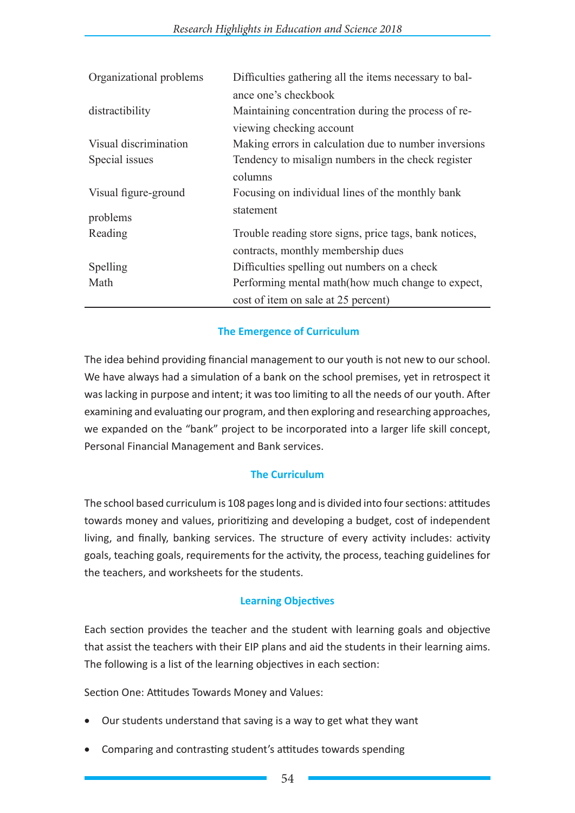| Organizational problems | Difficulties gathering all the items necessary to bal- |
|-------------------------|--------------------------------------------------------|
|                         | ance one's checkbook                                   |
| distractibility         | Maintaining concentration during the process of re-    |
|                         | viewing checking account                               |
| Visual discrimination   | Making errors in calculation due to number inversions  |
| Special issues          | Tendency to misalign numbers in the check register     |
|                         | columns                                                |
| Visual figure-ground    | Focusing on individual lines of the monthly bank       |
| problems                | statement                                              |
| Reading                 | Trouble reading store signs, price tags, bank notices, |
|                         | contracts, monthly membership dues                     |
| Spelling                | Difficulties spelling out numbers on a check           |
| Math                    | Performing mental math (how much change to expect,     |
|                         | cost of item on sale at 25 percent)                    |

## **The Emergence of Curriculum**

The idea behind providing financial management to our youth is not new to our school. We have always had a simulation of a bank on the school premises, yet in retrospect it was lacking in purpose and intent; it was too limiting to all the needs of our youth. After examining and evaluating our program, and then exploring and researching approaches, we expanded on the "bank" project to be incorporated into a larger life skill concept, Personal Financial Management and Bank services.

## **The Curriculum**

The school based curriculum is 108 pages long and is divided into four sections: attitudes towards money and values, prioritizing and developing a budget, cost of independent living, and finally, banking services. The structure of every activity includes: activity goals, teaching goals, requirements for the activity, the process, teaching guidelines for the teachers, and worksheets for the students.

#### **Learning Objectives**

Each section provides the teacher and the student with learning goals and objective that assist the teachers with their EIP plans and aid the students in their learning aims. The following is a list of the learning objectives in each section:

Section One: Attitudes Towards Money and Values:

- Our students understand that saving is a way to get what they want
- Comparing and contrasting student's attitudes towards spending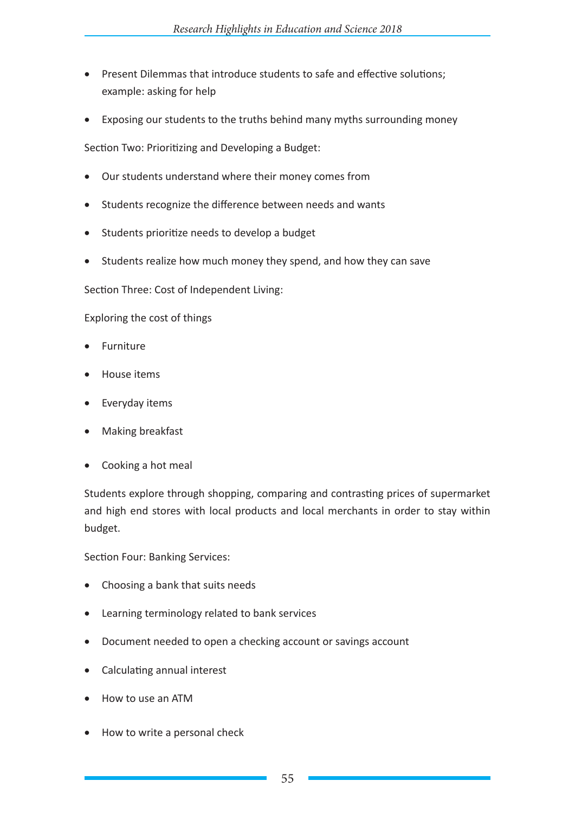- Present Dilemmas that introduce students to safe and effective solutions; example: asking for help
- Exposing our students to the truths behind many myths surrounding money

Section Two: Prioritizing and Developing a Budget:

- Our students understand where their money comes from
- • Students recognize the difference between needs and wants
- • Students prioritize needs to develop a budget
- Students realize how much money they spend, and how they can save

Section Three: Cost of Independent Living:

Exploring the cost of things

- **Furniture**
- **House items**
- Everyday items
- • Making breakfast
- Cooking a hot meal

Students explore through shopping, comparing and contrasting prices of supermarket and high end stores with local products and local merchants in order to stay within budget.

Section Four: Banking Services:

- Choosing a bank that suits needs
- • Learning terminology related to bank services
- Document needed to open a checking account or savings account
- • Calculating annual interest
- • How to use an ATM
- How to write a personal check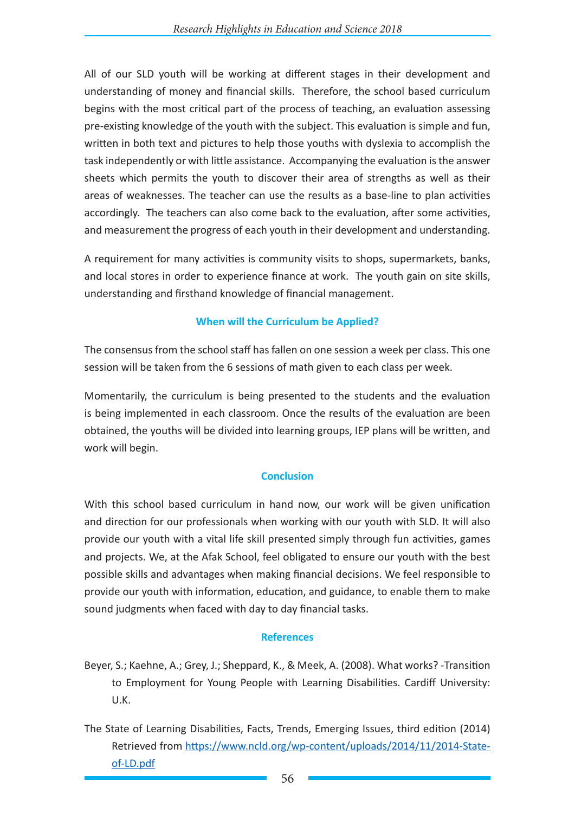All of our SLD youth will be working at different stages in their development and understanding of money and financial skills. Therefore, the school based curriculum begins with the most critical part of the process of teaching, an evaluation assessing pre-existing knowledge of the youth with the subject. This evaluation is simple and fun, written in both text and pictures to help those youths with dyslexia to accomplish the task independently or with little assistance. Accompanying the evaluation is the answer sheets which permits the youth to discover their area of strengths as well as their areas of weaknesses. The teacher can use the results as a base-line to plan activities accordingly. The teachers can also come back to the evaluation, after some activities, and measurement the progress of each youth in their development and understanding.

A requirement for many activities is community visits to shops, supermarkets, banks, and local stores in order to experience finance at work. The youth gain on site skills, understanding and firsthand knowledge of financial management.

### **When will the Curriculum be Applied?**

The consensus from the school staff has fallen on one session a week per class. This one session will be taken from the 6 sessions of math given to each class per week.

Momentarily, the curriculum is being presented to the students and the evaluation is being implemented in each classroom. Once the results of the evaluation are been obtained, the youths will be divided into learning groups, IEP plans will be written, and work will begin.

#### **Conclusion**

With this school based curriculum in hand now, our work will be given unification and direction for our professionals when working with our youth with SLD. It will also provide our youth with a vital life skill presented simply through fun activities, games and projects. We, at the Afak School, feel obligated to ensure our youth with the best possible skills and advantages when making financial decisions. We feel responsible to provide our youth with information, education, and guidance, to enable them to make sound judgments when faced with day to day financial tasks.

#### **References**

- Beyer, S.; Kaehne, A.; Grey, J.; Sheppard, K., & Meek, A. (2008). What works? -Transition to Employment for Young People with Learning Disabilities. Cardiff University: U.K.
- The State of Learning Disabilities, Facts, Trends, Emerging Issues, third edition (2014) Retrieved from https://www.ncld.org/wp-content/uploads/2014/11/2014-Stateof-LD.pdf